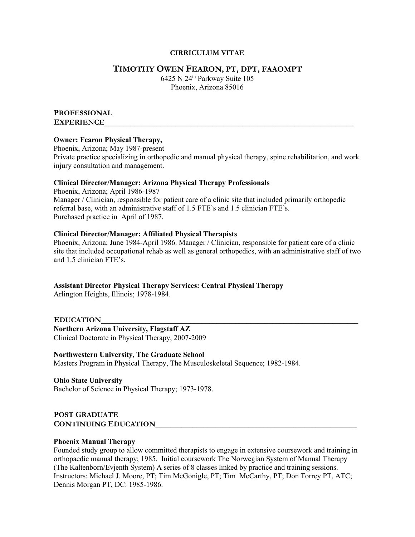## **CIRRICULUM VITAE**

## **TIMOTHY OWEN FEARON, PT, DPT, FAAOMPT**

6425 N 24th Parkway Suite 105 Phoenix, Arizona 85016

# **PROFESSIONAL**

 $EXPERIENCE$ 

## **Owner: Fearon Physical Therapy,**

Phoenix, Arizona; May 1987-present Private practice specializing in orthopedic and manual physical therapy, spine rehabilitation, and work injury consultation and management.

## **Clinical Director/Manager: Arizona Physical Therapy Professionals**

Phoenix, Arizona; April 1986-1987 Manager / Clinician, responsible for patient care of a clinic site that included primarily orthopedic referral base, with an administrative staff of 1.5 FTE's and 1.5 clinician FTE's. Purchased practice in April of 1987.

## **Clinical Director/Manager: Affiliated Physical Therapists**

Phoenix, Arizona; June 1984-April 1986. Manager / Clinician, responsible for patient care of a clinic site that included occupational rehab as well as general orthopedics, with an administrative staff of two and 1.5 clinician FTE's.

## **Assistant Director Physical Therapy Services: Central Physical Therapy**

Arlington Heights, Illinois; 1978-1984.

 $E{\rm DUCATION}$ **Northern Arizona University, Flagstaff AZ**  Clinical Doctorate in Physical Therapy, 2007-2009

## **Northwestern University, The Graduate School**

Masters Program in Physical Therapy, The Musculoskeletal Sequence; 1982-1984.

**Ohio State University** Bachelor of Science in Physical Therapy; 1973-1978.

**POST GRADUATE CONTINUING EDUCATION\_\_\_\_\_\_\_\_\_\_\_\_\_\_\_\_\_\_\_\_\_\_\_\_\_\_\_\_\_\_\_\_\_\_\_\_\_\_\_\_\_\_\_\_\_\_\_\_\_\_\_\_\_\_**

## **Phoenix Manual Therapy**

Founded study group to allow committed therapists to engage in extensive coursework and training in orthopaedic manual therapy; 1985. Initial coursework The Norwegian System of Manual Therapy (The Kaltenborn/Evjenth System) A series of 8 classes linked by practice and training sessions. Instructors: Michael J. Moore, PT; Tim McGonigle, PT; Tim McCarthy, PT; Don Torrey PT, ATC; Dennis Morgan PT, DC: 1985-1986.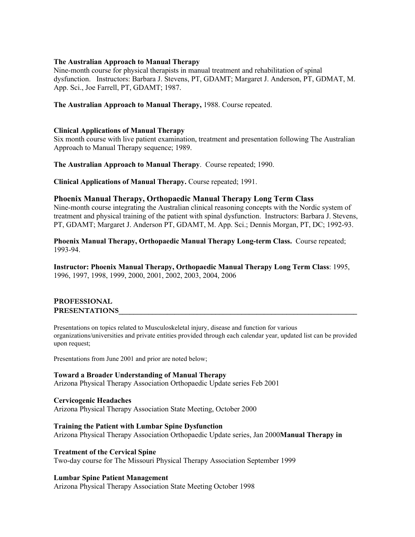## **The Australian Approach to Manual Therapy**

Nine-month course for physical therapists in manual treatment and rehabilitation of spinal dysfunction. Instructors: Barbara J. Stevens, PT, GDAMT; Margaret J. Anderson, PT, GDMAT, M. App. Sci., Joe Farrell, PT, GDAMT; 1987.

**The Australian Approach to Manual Therapy,** 1988. Course repeated.

#### **Clinical Applications of Manual Therapy**

Six month course with live patient examination, treatment and presentation following The Australian Approach to Manual Therapy sequence; 1989.

**The Australian Approach to Manual Therapy**. Course repeated; 1990.

**Clinical Applications of Manual Therapy.** Course repeated; 1991.

#### **Phoenix Manual Therapy, Orthopaedic Manual Therapy Long Term Class**

Nine-month course integrating the Australian clinical reasoning concepts with the Nordic system of treatment and physical training of the patient with spinal dysfunction. Instructors: Barbara J. Stevens, PT, GDAMT; Margaret J. Anderson PT, GDAMT, M. App. Sci.; Dennis Morgan, PT, DC; 1992-93.

**Phoenix Manual Therapy, Orthopaedic Manual Therapy Long-term Class.** Course repeated; 1993-94.

**Instructor: Phoenix Manual Therapy, Orthopaedic Manual Therapy Long Term Class**: 1995, 1996, 1997, 1998, 1999, 2000, 2001, 2002, 2003, 2004, 2006

#### **PROFESSIONAL**  PRESENTATIONS

Presentations on topics related to Musculoskeletal injury, disease and function for various organizations/universities and private entities provided through each calendar year, updated list can be provided upon request;

Presentations from June 2001 and prior are noted below;

#### **Toward a Broader Understanding of Manual Therapy** Arizona Physical Therapy Association Orthopaedic Update series Feb 2001

**Cervicogenic Headaches** Arizona Physical Therapy Association State Meeting, October 2000

**Training the Patient with Lumbar Spine Dysfunction** Arizona Physical Therapy Association Orthopaedic Update series, Jan 2000**Manual Therapy in** 

## **Treatment of the Cervical Spine** Two-day course for The Missouri Physical Therapy Association September 1999

## **Lumbar Spine Patient Management**

Arizona Physical Therapy Association State Meeting October 1998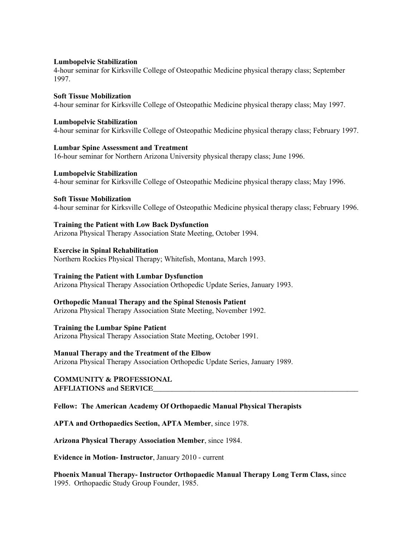#### **Lumbopelvic Stabilization**

4-hour seminar for Kirksville College of Osteopathic Medicine physical therapy class; September 1997.

## **Soft Tissue Mobilization**

4-hour seminar for Kirksville College of Osteopathic Medicine physical therapy class; May 1997.

## **Lumbopelvic Stabilization**

4-hour seminar for Kirksville College of Osteopathic Medicine physical therapy class; February 1997.

## **Lumbar Spine Assessment and Treatment**

16-hour seminar for Northern Arizona University physical therapy class; June 1996.

## **Lumbopelvic Stabilization**

4-hour seminar for Kirksville College of Osteopathic Medicine physical therapy class; May 1996.

## **Soft Tissue Mobilization**

4-hour seminar for Kirksville College of Osteopathic Medicine physical therapy class; February 1996.

## **Training the Patient with Low Back Dysfunction**

Arizona Physical Therapy Association State Meeting, October 1994.

## **Exercise in Spinal Rehabilitation**

Northern Rockies Physical Therapy; Whitefish, Montana, March 1993.

## **Training the Patient with Lumbar Dysfunction**

Arizona Physical Therapy Association Orthopedic Update Series, January 1993.

## **Orthopedic Manual Therapy and the Spinal Stenosis Patient**

Arizona Physical Therapy Association State Meeting, November 1992.

## **Training the Lumbar Spine Patient**

Arizona Physical Therapy Association State Meeting, October 1991.

## **Manual Therapy and the Treatment of the Elbow**

Arizona Physical Therapy Association Orthopedic Update Series, January 1989.

#### **COMMUNITY & PROFESSIONAL AFFLIATIONS and SERVICE\_\_\_\_\_\_\_\_\_\_\_\_\_\_\_\_\_\_\_\_\_\_\_\_\_\_\_\_\_\_\_\_\_\_\_\_\_\_\_\_\_\_\_\_\_\_\_\_\_\_\_\_\_\_\_**

## **Fellow: The American Academy Of Orthopaedic Manual Physical Therapists**

**APTA and Orthopaedics Section, APTA Member**, since 1978.

**Arizona Physical Therapy Association Member**, since 1984.

**Evidence in Motion- Instructor**, January 2010 - current

**Phoenix Manual Therapy- Instructor Orthopaedic Manual Therapy Long Term Class,** since 1995. Orthopaedic Study Group Founder, 1985.